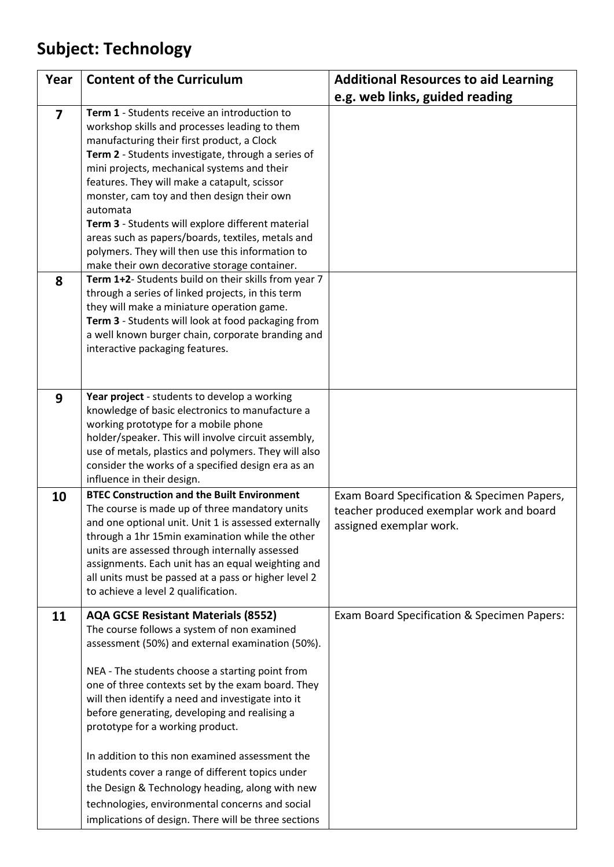## **Subject: Technology**

| Year           | <b>Content of the Curriculum</b>                                                                                                                                                                                                                                                                                                                                                                                                                                                                                                                                                                                                                                     | <b>Additional Resources to aid Learning</b>                                                                        |
|----------------|----------------------------------------------------------------------------------------------------------------------------------------------------------------------------------------------------------------------------------------------------------------------------------------------------------------------------------------------------------------------------------------------------------------------------------------------------------------------------------------------------------------------------------------------------------------------------------------------------------------------------------------------------------------------|--------------------------------------------------------------------------------------------------------------------|
|                |                                                                                                                                                                                                                                                                                                                                                                                                                                                                                                                                                                                                                                                                      | e.g. web links, guided reading                                                                                     |
| $\overline{7}$ | Term 1 - Students receive an introduction to<br>workshop skills and processes leading to them<br>manufacturing their first product, a Clock<br>Term 2 - Students investigate, through a series of<br>mini projects, mechanical systems and their<br>features. They will make a catapult, scissor<br>monster, cam toy and then design their own<br>automata<br>Term 3 - Students will explore different material<br>areas such as papers/boards, textiles, metals and<br>polymers. They will then use this information to<br>make their own decorative storage container.                                                                                             |                                                                                                                    |
| 8              | Term 1+2- Students build on their skills from year 7<br>through a series of linked projects, in this term<br>they will make a miniature operation game.<br>Term 3 - Students will look at food packaging from<br>a well known burger chain, corporate branding and<br>interactive packaging features.                                                                                                                                                                                                                                                                                                                                                                |                                                                                                                    |
| 9              | Year project - students to develop a working<br>knowledge of basic electronics to manufacture a<br>working prototype for a mobile phone<br>holder/speaker. This will involve circuit assembly,<br>use of metals, plastics and polymers. They will also<br>consider the works of a specified design era as an<br>influence in their design.                                                                                                                                                                                                                                                                                                                           |                                                                                                                    |
| 10             | <b>BTEC Construction and the Built Environment</b><br>The course is made up of three mandatory units<br>and one optional unit. Unit 1 is assessed externally<br>through a 1hr 15min examination while the other<br>units are assessed through internally assessed<br>assignments. Each unit has an equal weighting and<br>all units must be passed at a pass or higher level 2<br>to achieve a level 2 qualification.                                                                                                                                                                                                                                                | Exam Board Specification & Specimen Papers,<br>teacher produced exemplar work and board<br>assigned exemplar work. |
| 11             | <b>AQA GCSE Resistant Materials (8552)</b><br>The course follows a system of non examined<br>assessment (50%) and external examination (50%).<br>NEA - The students choose a starting point from<br>one of three contexts set by the exam board. They<br>will then identify a need and investigate into it<br>before generating, developing and realising a<br>prototype for a working product.<br>In addition to this non examined assessment the<br>students cover a range of different topics under<br>the Design & Technology heading, along with new<br>technologies, environmental concerns and social<br>implications of design. There will be three sections | Exam Board Specification & Specimen Papers:                                                                        |